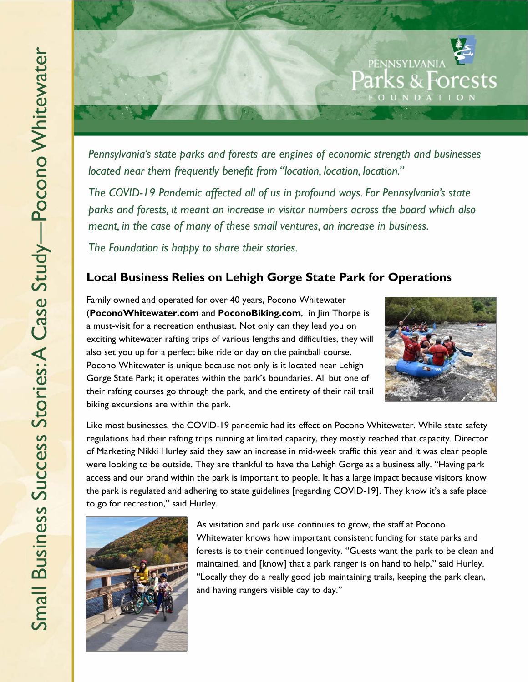

*Pennsylvania's state parks and forests are engines of economic strength and businesses located near them frequently benefit from "location, location, location."* 

*The COVID-19 Pandemic affected all of us in profound ways. For Pennsylvania's state parks and forests, it meant an increase in visitor numbers across the board which also meant, in the case of many of these small ventures, an increase in business.* 

*The Foundation is happy to share their stories.* 

## **Local Business Relies on Lehigh Gorge State Park for Operations**

Family owned and operated for over 40 years, Pocono Whitewater (**PoconoWhitewater.com** and **PoconoBiking.com**, in Jim Thorpe is a must-visit for a recreation enthusiast. Not only can they lead you on exciting whitewater rafting trips of various lengths and difficulties, they will also set you up for a perfect bike ride or day on the paintball course. Pocono Whitewater is unique because not only is it located near Lehigh Gorge State Park; it operates within the park's boundaries. All but one of their rafting courses go through the park, and the entirety of their rail trail biking excursions are within the park.



Like most businesses, the COVID-19 pandemic had its effect on Pocono Whitewater. While state safety regulations had their rafting trips running at limited capacity, they mostly reached that capacity. Director of Marketing Nikki Hurley said they saw an increase in mid-week traffic this year and it was clear people were looking to be outside. They are thankful to have the Lehigh Gorge as a business ally. "Having park access and our brand within the park is important to people. It has a large impact because visitors know the park is regulated and adhering to state guidelines [regarding COVID-19]. They know it's a safe place to go for recreation," said Hurley.



As visitation and park use continues to grow, the staff at Pocono Whitewater knows how important consistent funding for state parks and forests is to their continued longevity. "Guests want the park to be clean and maintained, and [know] that a park ranger is on hand to help," said Hurley. "Locally they do a really good job maintaining trails, keeping the park clean, and having rangers visible day to day."